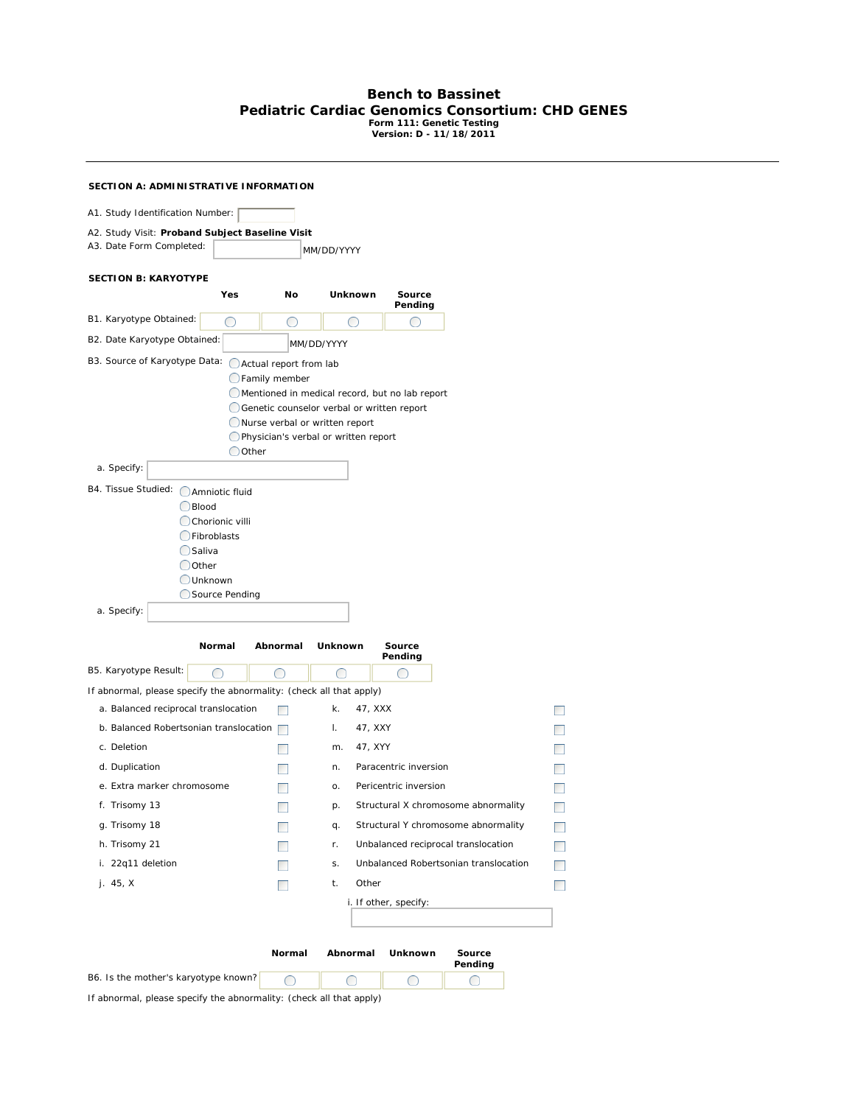## **Bench to Bassinet Pediatric Cardiac Genomics Consortium: CHD GENES Form 111: Genetic Testing Version: D - 11/18/2011**

| SECTION A: ADMINISTRATIVE INFORMATION                               |                                |                                                                                              |                                               |                                       |                          |
|---------------------------------------------------------------------|--------------------------------|----------------------------------------------------------------------------------------------|-----------------------------------------------|---------------------------------------|--------------------------|
| A1. Study Identification Number:                                    |                                |                                                                                              |                                               |                                       |                          |
| A2. Study Visit: Proband Subject Baseline Visit                     |                                |                                                                                              |                                               |                                       |                          |
| A3. Date Form Completed:                                            |                                | MM/DD/YYYY                                                                                   |                                               |                                       |                          |
|                                                                     |                                |                                                                                              |                                               |                                       |                          |
| <b>SECTION B: KARYOTYPE</b><br>Yes                                  | No                             | Unknown                                                                                      | Source                                        |                                       |                          |
|                                                                     |                                |                                                                                              | Pending                                       |                                       |                          |
| B1. Karyotype Obtained:<br>O                                        | O                              |                                                                                              | $^{\rm (+)}$                                  |                                       |                          |
| B2. Date Karyotype Obtained:                                        |                                | MM/DD/YYYY                                                                                   |                                               |                                       |                          |
| B3. Source of Karyotype Data:                                       | Actual report from lab         |                                                                                              |                                               |                                       |                          |
|                                                                     | <b>C</b> Family member         |                                                                                              |                                               |                                       |                          |
|                                                                     |                                | Mentioned in medical record, but no lab report<br>Genetic counselor verbal or written report |                                               |                                       |                          |
|                                                                     | Nurse verbal or written report |                                                                                              |                                               |                                       |                          |
|                                                                     |                                | Physician's verbal or written report                                                         |                                               |                                       |                          |
| Oother                                                              |                                |                                                                                              |                                               |                                       |                          |
| a. Specify:                                                         |                                |                                                                                              |                                               |                                       |                          |
| B4. Tissue Studied: Amniotic fluid                                  |                                |                                                                                              |                                               |                                       |                          |
| Blood<br>Chorionic villi                                            |                                |                                                                                              |                                               |                                       |                          |
| <b>C</b> Fibroblasts                                                |                                |                                                                                              |                                               |                                       |                          |
| $\bigcirc$ Saliva                                                   |                                |                                                                                              |                                               |                                       |                          |
| $\bigcirc$ Other                                                    |                                |                                                                                              |                                               |                                       |                          |
| <b>Unknown</b>                                                      |                                |                                                                                              |                                               |                                       |                          |
| Source Pending<br>a. Specify:                                       |                                |                                                                                              |                                               |                                       |                          |
|                                                                     |                                |                                                                                              |                                               |                                       |                          |
| Normal                                                              | Abnormal                       | Unknown                                                                                      | Source<br>Pending                             |                                       |                          |
| B5. Karyotype Result:<br>◯                                          | $\bigcirc$                     | $\bigcirc$                                                                                   | $\left( \begin{array}{c} \end{array} \right)$ |                                       |                          |
| If abnormal, please specify the abnormality: (check all that apply) |                                |                                                                                              |                                               |                                       |                          |
| a. Balanced reciprocal translocation                                |                                | k.<br>47, XXX                                                                                |                                               |                                       |                          |
| b. Balanced Robertsonian translocation                              |                                | 47, XXY<br>L.                                                                                |                                               |                                       |                          |
| c. Deletion                                                         |                                | 47, XYY<br>m.                                                                                |                                               |                                       |                          |
| d. Duplication                                                      |                                | n.                                                                                           | Paracentric inversion                         |                                       |                          |
| e. Extra marker chromosome                                          |                                | о.                                                                                           | Pericentric inversion                         |                                       |                          |
| f. Trisomy 13                                                       |                                | p.                                                                                           |                                               | Structural X chromosome abnormality   | $\overline{\phantom{a}}$ |
| g. Trisomy 18                                                       |                                | q.                                                                                           |                                               | Structural Y chromosome abnormality   | $\Box$                   |
| h. Trisomy 21                                                       |                                | r.                                                                                           |                                               | Unbalanced reciprocal translocation   | n.                       |
| i. 22q11 deletion                                                   |                                | S.                                                                                           |                                               | Unbalanced Robertsonian translocation |                          |
| j. 45, X                                                            |                                | Other<br>t.                                                                                  |                                               |                                       |                          |
|                                                                     |                                |                                                                                              | i. If other, specify:                         |                                       |                          |
|                                                                     |                                |                                                                                              |                                               |                                       |                          |
|                                                                     |                                |                                                                                              |                                               |                                       |                          |
|                                                                     | Normal                         | Abnormal                                                                                     | <b>Unknown</b>                                | Source<br>Pending                     |                          |
| B6. Is the mother's karyotype known?                                | О                              | O                                                                                            | O                                             | O                                     |                          |

If abnormal, please specify the abnormality: (check all that apply)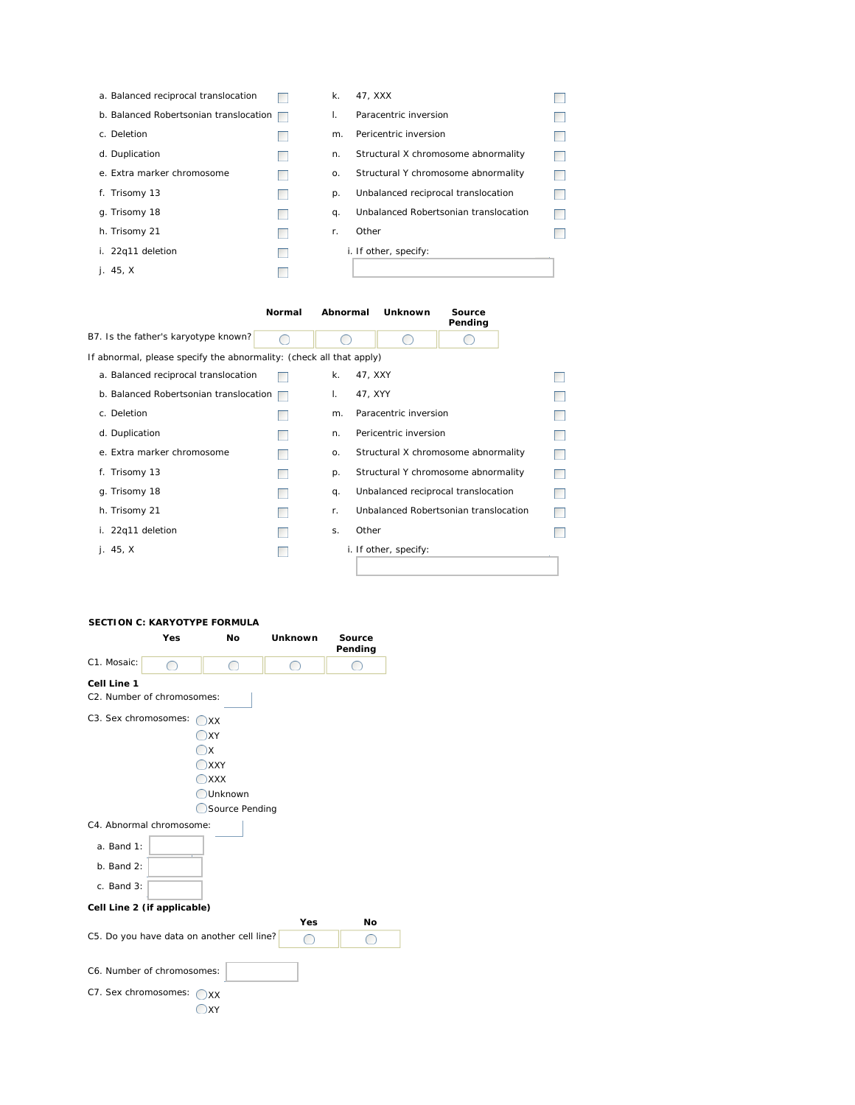| a. Balanced reciprocal translocation   | $\mathsf k$ . | 47. XXX                               |  |
|----------------------------------------|---------------|---------------------------------------|--|
| b. Balanced Robertsonian translocation | L.            | Paracentric inversion                 |  |
| c. Deletion                            | m.            | Pericentric inversion                 |  |
| d. Duplication                         | n.            | Structural X chromosome abnormality   |  |
| e. Extra marker chromosome             | 0.            | Structural Y chromosome abnormality   |  |
| f. Trisomy 13                          | p.            | Unbalanced reciprocal translocation   |  |
| g. Trisomy 18                          | q.            | Unbalanced Robertsonian translocation |  |
| h. Trisomy 21                          | r.            | Other                                 |  |
| i. 22q11 deletion                      |               | i. If other, specify:                 |  |
| i. $45, X$                             |               |                                       |  |

|                                                                     | Normal | Abnormal | Unknown               | Source<br>Pending                     |  |
|---------------------------------------------------------------------|--------|----------|-----------------------|---------------------------------------|--|
| B7. Is the father's karyotype known?                                |        |          |                       |                                       |  |
| If abnormal, please specify the abnormality: (check all that apply) |        |          |                       |                                       |  |
| a. Balanced reciprocal translocation                                |        | k.       | 47, XXY               |                                       |  |
| b. Balanced Robertsonian translocation                              |        | I.       | 47, XYY               |                                       |  |
| c. Deletion                                                         |        | m.       | Paracentric inversion |                                       |  |
| d. Duplication                                                      |        | n.       | Pericentric inversion |                                       |  |
| e. Extra marker chromosome                                          |        | 0.       |                       | Structural X chromosome abnormality   |  |
| f. Trisomy 13                                                       |        | p.       |                       | Structural Y chromosome abnormality   |  |
| g. Trisomy 18                                                       |        | q.       |                       | Unbalanced reciprocal translocation   |  |
| h. Trisomy 21                                                       |        | r.       |                       | Unbalanced Robertsonian translocation |  |
| i. 22q11 deletion                                                   |        | S.       | Other                 |                                       |  |
| i.45. X                                                             |        |          | i. If other, specify: |                                       |  |
|                                                                     |        |          |                       |                                       |  |

## **SECTION C: KARYOTYPE FORMULA**

|                      | Yes                                        | No             | <b>Unknown</b>                                | Source<br>Pending |
|----------------------|--------------------------------------------|----------------|-----------------------------------------------|-------------------|
| C1. Mosaic:          | $^{\circ}$                                 | ◯              | ◯                                             |                   |
| Cell Line 1          |                                            |                |                                               |                   |
|                      | C2. Number of chromosomes:                 |                |                                               |                   |
| C3. Sex chromosomes: |                                            | XX             |                                               |                   |
|                      |                                            | XY             |                                               |                   |
|                      |                                            | $\Box$         |                                               |                   |
|                      |                                            | $\Box$ XXY     |                                               |                   |
|                      |                                            | <b>XXX</b>     |                                               |                   |
|                      |                                            | Unknown        |                                               |                   |
|                      |                                            | Source Pending |                                               |                   |
|                      | C4. Abnormal chromosome:                   |                |                                               |                   |
| a. Band 1:           |                                            |                |                                               |                   |
| $b.$ Band $2:$       |                                            |                |                                               |                   |
| c. Band 3:           |                                            |                |                                               |                   |
|                      | Cell Line 2 (if applicable)                |                |                                               |                   |
|                      |                                            |                | Yes                                           | No                |
|                      | C5. Do you have data on another cell line? |                | $\left( \begin{array}{c} \end{array} \right)$ | ◯                 |
|                      |                                            |                |                                               |                   |
|                      | C6. Number of chromosomes:                 |                |                                               |                   |
| C7. Sex chromosomes: |                                            | XX             |                                               |                   |
|                      |                                            | XY             |                                               |                   |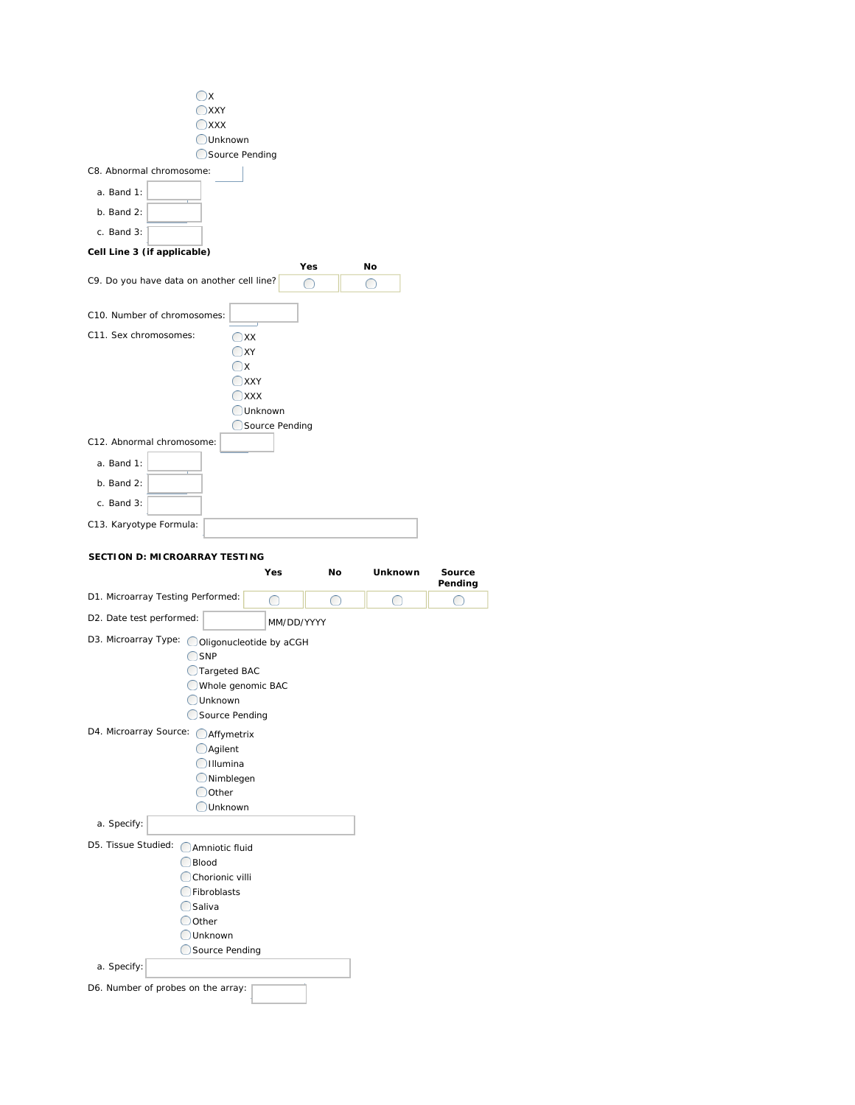|                                               | Ox<br><b>XXY</b>             |                   |            |            |                   |
|-----------------------------------------------|------------------------------|-------------------|------------|------------|-------------------|
|                                               | $\bigcirc$ xxx               |                   |            |            |                   |
|                                               | Unknown                      |                   |            |            |                   |
|                                               | Source Pending               |                   |            |            |                   |
| C8. Abnormal chromosome:                      |                              |                   |            |            |                   |
| a. Band 1:                                    |                              |                   |            |            |                   |
| $b.$ Band $2:$                                |                              |                   |            |            |                   |
|                                               |                              |                   |            |            |                   |
| c. Band 3:                                    |                              |                   |            |            |                   |
| Cell Line 3 (if applicable)                   |                              |                   |            |            |                   |
|                                               |                              | Yes               |            | No         |                   |
| C9. Do you have data on another cell line?    |                              | $\bigcirc$        |            | $\bigcirc$ |                   |
| C10. Number of chromosomes:                   |                              |                   |            |            |                   |
| C11. Sex chromosomes:                         | $O$ XX                       |                   |            |            |                   |
|                                               | $\Box$ XY                    |                   |            |            |                   |
|                                               | $\Box$ x                     |                   |            |            |                   |
|                                               | $J$ XXY                      |                   |            |            |                   |
|                                               | <b>XXX</b>                   |                   |            |            |                   |
|                                               |                              | Unknown           |            |            |                   |
|                                               |                              | Source Pending    |            |            |                   |
| C12. Abnormal chromosome:                     |                              |                   |            |            |                   |
| $a.$ Band 1:                                  |                              |                   |            |            |                   |
| $b.$ Band $2:$                                |                              |                   |            |            |                   |
| c. Band 3:                                    |                              |                   |            |            |                   |
|                                               |                              |                   |            |            |                   |
| C13. Karyotype Formula:                       |                              |                   |            |            |                   |
|                                               |                              |                   |            |            |                   |
|                                               |                              |                   |            |            |                   |
| <b>SECTION D: MICROARRAY TESTING</b>          |                              |                   |            |            |                   |
|                                               |                              | Yes               | No         | Unknown    | Source<br>Pending |
| D1. Microarray Testing Performed:             |                              | ◯                 | $\bigcirc$ |            |                   |
|                                               |                              |                   |            |            |                   |
| D2. Date test performed:                      |                              | <i>MM/DD/YYYY</i> |            |            |                   |
| D3. Microarray Type: OOIigonucleotide by aCGH |                              |                   |            |            |                   |
|                                               | <b>OSNP</b>                  |                   |            |            |                   |
|                                               | ◯Targeted BAC                |                   |            |            |                   |
|                                               | Whole genomic BAC            |                   |            |            |                   |
|                                               | Unknown                      |                   |            |            |                   |
|                                               | Source Pending               |                   |            |            |                   |
| D4. Microarray Source: OAffymetrix            |                              |                   |            |            |                   |
|                                               | <b>O</b> Agilent<br>Illumina |                   |            |            |                   |
|                                               | Nimblegen                    |                   |            |            |                   |
|                                               | Oother                       |                   |            |            |                   |
|                                               | Unknown                      |                   |            |            |                   |
| a. Specify:                                   |                              |                   |            |            |                   |
|                                               |                              |                   |            |            |                   |
| D5. Tissue Studied: Amniotic fluid            | Blood                        |                   |            |            |                   |
|                                               | Chorionic villi              |                   |            |            |                   |
|                                               | Fibroblasts                  |                   |            |            |                   |
|                                               | Saliva                       |                   |            |            |                   |
|                                               | Other                        |                   |            |            |                   |
|                                               | Unknown                      |                   |            |            |                   |
|                                               | Source Pending               |                   |            |            |                   |
| a. Specify:                                   |                              |                   |            |            |                   |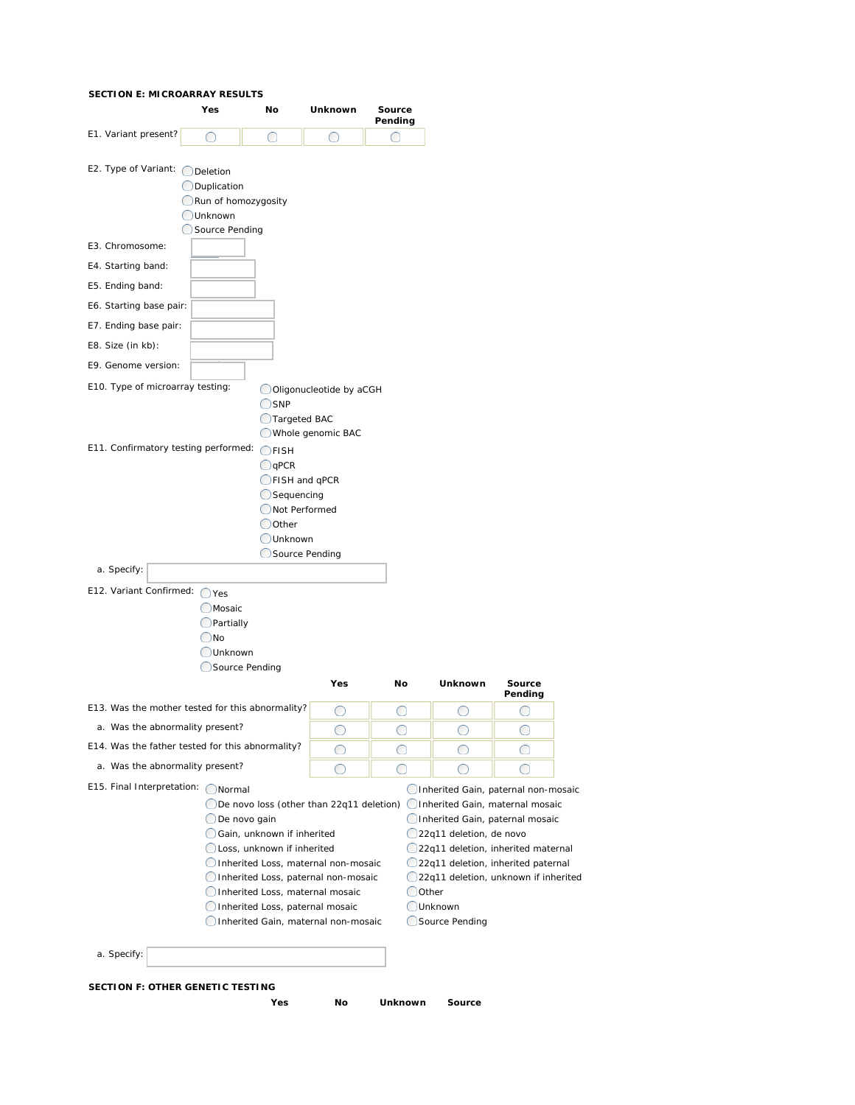## **SECTION E: MICROARRAY RESULTS**

| E1. Variant present?<br>E2. Type of Variant: ◯ Deletion                                                                                                   | No<br>Yes                                                                                                                                                                               | Unknown                                                                                       | Source<br>Pending |                                                               |                                                                                                              |
|-----------------------------------------------------------------------------------------------------------------------------------------------------------|-----------------------------------------------------------------------------------------------------------------------------------------------------------------------------------------|-----------------------------------------------------------------------------------------------|-------------------|---------------------------------------------------------------|--------------------------------------------------------------------------------------------------------------|
|                                                                                                                                                           | ◯<br>O                                                                                                                                                                                  | ○                                                                                             | $\bigcirc$        |                                                               |                                                                                                              |
| E3. Chromosome:<br>E4. Starting band:<br>E5. Ending band:<br>E6. Starting base pair:<br>E7. Ending base pair:<br>E8. Size (in kb):<br>E9. Genome version: | <b>ODuplication</b><br>Run of homozygosity<br><b>OUnknown</b><br>Source Pending                                                                                                         |                                                                                               |                   |                                                               |                                                                                                              |
| E10. Type of microarray testing:                                                                                                                          |                                                                                                                                                                                         | Oligonucleotide by aCGH                                                                       |                   |                                                               |                                                                                                              |
| E11. Confirmatory testing performed:                                                                                                                      | $O$ FISH<br>$\bigcirc$ qPCR<br>Sequencing<br>Oother<br><b>OUnknown</b>                                                                                                                  | <b>Targeted BAC</b><br>Whole genomic BAC<br>CFISH and qPCR<br>Not Performed<br>Source Pending |                   |                                                               |                                                                                                              |
| a. Specify:                                                                                                                                               |                                                                                                                                                                                         |                                                                                               |                   |                                                               |                                                                                                              |
| E12. Variant Confirmed: ○ Yes                                                                                                                             | <b>OMosaic</b><br>$Q$ Partially<br>$\bigcirc$ No<br>Unknown<br>Source Pending                                                                                                           | <b>Yes</b>                                                                                    | No                | Unknown                                                       | Source                                                                                                       |
|                                                                                                                                                           |                                                                                                                                                                                         |                                                                                               |                   |                                                               | Pending                                                                                                      |
|                                                                                                                                                           | E13. Was the mother tested for this abnormality?                                                                                                                                        | O                                                                                             | $\bigcirc$        | ◯                                                             | O                                                                                                            |
| a. Was the abnormality present?                                                                                                                           | E14. Was the father tested for this abnormality?                                                                                                                                        |                                                                                               |                   |                                                               |                                                                                                              |
| a. Was the abnormality present?                                                                                                                           |                                                                                                                                                                                         | ∩                                                                                             | ∩                 | ∩                                                             |                                                                                                              |
|                                                                                                                                                           |                                                                                                                                                                                         | O                                                                                             | O                 | $^{\rm (+)}$                                                  |                                                                                                              |
| E15. Final Interpretation: ONormal                                                                                                                        | $\bigcirc$ De novo loss (other than 22q11 deletion) $\bigcirc$ Inherited Gain, maternal mosaic<br>$\bigcirc$ De novo gain<br>Gain, unknown if inherited<br>Loss, unknown if inherited   |                                                                                               |                   | 22q11 deletion, de novo<br>22q11 deletion, inherited paternal | Inherited Gain, paternal non-mosaic<br>Inherited Gain, paternal mosaic<br>22q11 deletion, inherited maternal |
|                                                                                                                                                           | Inherited Loss, maternal non-mosaic<br>Inherited Loss, paternal non-mosaic<br>Inherited Loss, maternal mosaic<br>Inherited Loss, paternal mosaic<br>Inherited Gain, maternal non-mosaic |                                                                                               | Oother            | <b>OUnknown</b><br>Source Pending                             | 22q11 deletion, unknown if inherited                                                                         |
|                                                                                                                                                           |                                                                                                                                                                                         |                                                                                               |                   |                                                               |                                                                                                              |

**Yes No Unknown Source**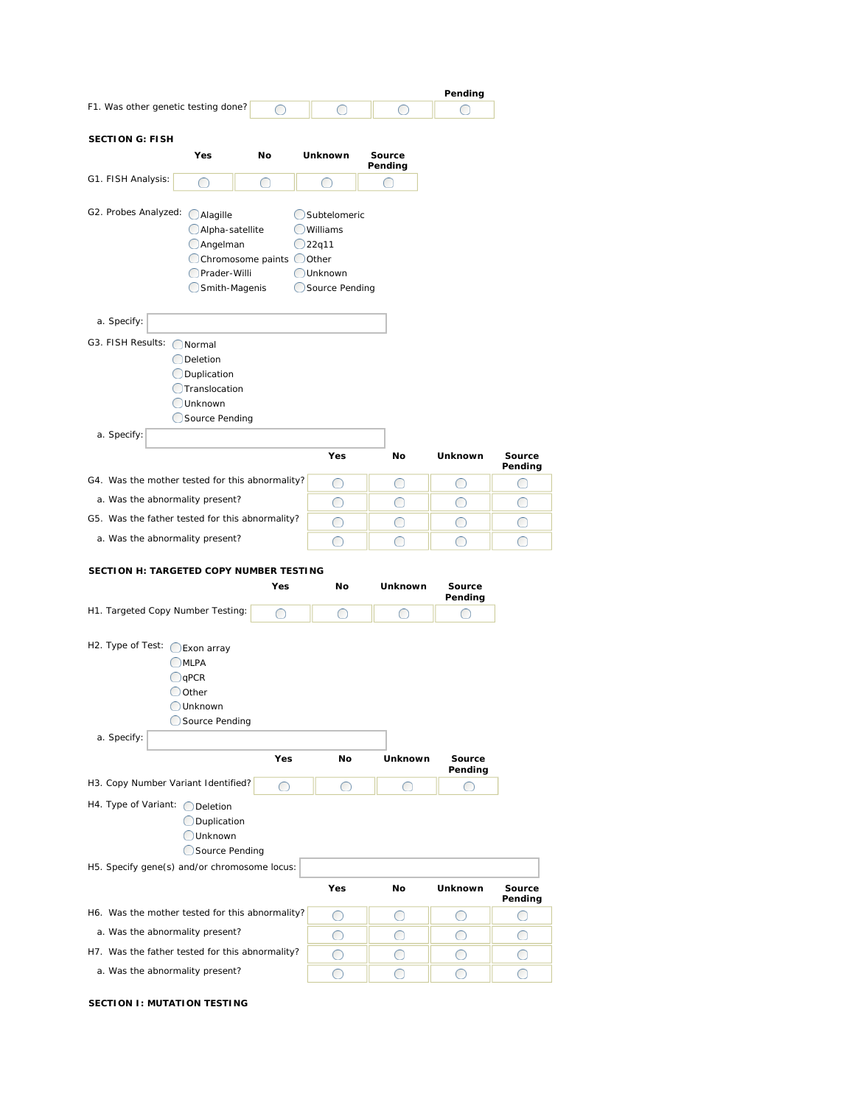|                                                                                                                                                                                                                               |                          |                                                                                    |                | Pending           |                   |
|-------------------------------------------------------------------------------------------------------------------------------------------------------------------------------------------------------------------------------|--------------------------|------------------------------------------------------------------------------------|----------------|-------------------|-------------------|
| F1. Was other genetic testing done?                                                                                                                                                                                           | ◯                        | ◯                                                                                  | ◯              | 0                 |                   |
| <b>SECTION G: FISH</b>                                                                                                                                                                                                        |                          |                                                                                    |                |                   |                   |
| Yes                                                                                                                                                                                                                           | No                       | <b>Unknown</b>                                                                     | Source         |                   |                   |
|                                                                                                                                                                                                                               |                          |                                                                                    | Pending        |                   |                   |
| G1. FISH Analysis:<br>◯                                                                                                                                                                                                       | ◯                        | ◯                                                                                  | ◯              |                   |                   |
| G2. Probes Analyzed: (<br>Alagille<br>Alpha-satellite<br>Angelman<br><b>O</b> Prader-Willi<br>Smith-Magenis<br>a. Specify:<br>G3. FISH Results: ONormal<br><b>O</b> Deletion<br><b>ODuplication</b><br><b>O</b> Translocation | Chromosome paints OOther | Subtelomeric<br><b>OWilliams</b><br>$Q$ 22q11<br><b>OUnknown</b><br>Source Pending |                |                   |                   |
| <b>OUnknown</b>                                                                                                                                                                                                               |                          |                                                                                    |                |                   |                   |
| Source Pending<br>a. Specify:                                                                                                                                                                                                 |                          |                                                                                    |                |                   |                   |
|                                                                                                                                                                                                                               |                          | Yes                                                                                | No             | Unknown           | Source<br>Pending |
| G4. Was the mother tested for this abnormality?                                                                                                                                                                               |                          | O                                                                                  | O              | O                 | O                 |
| a. Was the abnormality present?                                                                                                                                                                                               |                          | O                                                                                  | O              | O                 | O                 |
| G5. Was the father tested for this abnormality?                                                                                                                                                                               |                          | O                                                                                  | O              | O                 | O                 |
| a. Was the abnormality present?                                                                                                                                                                                               |                          | ◯                                                                                  | ◯              | ∩                 | ◯                 |
|                                                                                                                                                                                                                               |                          |                                                                                    |                |                   |                   |
| SECTION H: TARGETED COPY NUMBER TESTING                                                                                                                                                                                       |                          |                                                                                    |                |                   |                   |
|                                                                                                                                                                                                                               | Yes                      | No                                                                                 | <b>Unknown</b> | Source<br>Pending |                   |
| H1. Targeted Copy Number Testing:                                                                                                                                                                                             | ◯                        | ◯                                                                                  | ∩              |                   |                   |
| H2. Type of Test: CExon array<br>OMLPA<br>$\bigcirc$ qPCR<br>$\bigcirc$ Other<br>Unknown<br>Source Pending<br>a. Specify:                                                                                                     |                          |                                                                                    |                |                   |                   |
|                                                                                                                                                                                                                               | Yes                      | No                                                                                 | Unknown        | Source<br>Pending |                   |
| H3. Copy Number Variant Identified?                                                                                                                                                                                           | O                        | O                                                                                  | ◯              | $\bigcirc$        |                   |
| H4. Type of Variant: O Deletion<br>Duplication<br><b>Unknown</b><br>Source Pending<br>H5. Specify gene(s) and/or chromosome locus:                                                                                            |                          |                                                                                    |                |                   |                   |
|                                                                                                                                                                                                                               |                          | Yes                                                                                | No             | Unknown           | Source            |
|                                                                                                                                                                                                                               |                          |                                                                                    |                |                   | Pending           |
| H6. Was the mother tested for this abnormality?                                                                                                                                                                               |                          | O                                                                                  | $\bigcirc$     | O                 | O                 |
| a. Was the abnormality present?                                                                                                                                                                                               |                          | O                                                                                  | $\bigcirc$     | O                 | O                 |
| H7. Was the father tested for this abnormality?                                                                                                                                                                               |                          | O                                                                                  | O              | O                 | O                 |
| a. Was the abnormality present?                                                                                                                                                                                               |                          | $\bigcirc$                                                                         | ◯              | ◯                 | ∩                 |

## **SECTION I: MUTATION TESTING**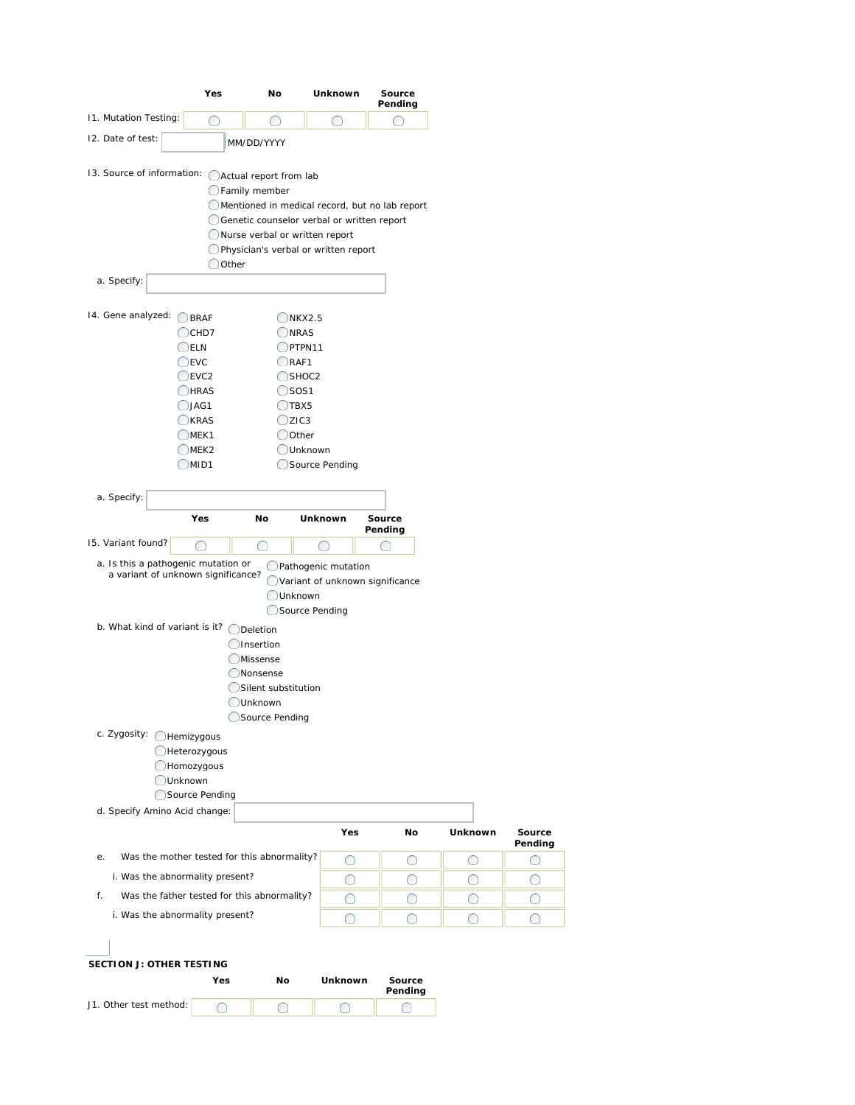|                                                    | Yes                      | No                                             | Unknown                         | Source<br>Pending |                |              |
|----------------------------------------------------|--------------------------|------------------------------------------------|---------------------------------|-------------------|----------------|--------------|
| 11. Mutation Testing:                              | O                        | ◯                                              | ◯                               | ◯                 |                |              |
| 12. Date of test:                                  |                          | MM/DD/YYYY                                     |                                 |                   |                |              |
| 13. Source of information: OActual report from lab |                          |                                                |                                 |                   |                |              |
|                                                    |                          | <b>C</b> Family member                         |                                 |                   |                |              |
|                                                    |                          | Mentioned in medical record, but no lab report |                                 |                   |                |              |
|                                                    |                          | Genetic counselor verbal or written report     |                                 |                   |                |              |
|                                                    |                          | Nurse verbal or written report                 |                                 |                   |                |              |
|                                                    | Oother                   | Physician's verbal or written report           |                                 |                   |                |              |
| a. Specify:                                        |                          |                                                |                                 |                   |                |              |
|                                                    |                          |                                                |                                 |                   |                |              |
| 14. Gene analyzed: BRAF                            |                          |                                                |                                 |                   |                |              |
|                                                    | $\bigcirc$ CHD7          | OKX2.5<br>ONRAS                                |                                 |                   |                |              |
|                                                    | $\bigcirc$ ELN           | OPTPN11                                        |                                 |                   |                |              |
|                                                    | $\bigcirc$ EVC           | ORAF1                                          |                                 |                   |                |              |
|                                                    | $C$ EVC2                 | $O$ SHOC2                                      |                                 |                   |                |              |
|                                                    | OHRAS                    | $\bigcirc$ sos1                                |                                 |                   |                |              |
|                                                    | $Q$ JAG1                 | $\bigcirc$ TBX5                                |                                 |                   |                |              |
|                                                    | <b>OKRAS</b>             | OZIC3                                          |                                 |                   |                |              |
|                                                    | $\bigcirc$ MEK1          | ◯ Other                                        | Unknown                         |                   |                |              |
|                                                    | $\bigcirc$ MEK2<br>OMID1 |                                                | Source Pending                  |                   |                |              |
|                                                    |                          |                                                |                                 |                   |                |              |
|                                                    |                          |                                                |                                 |                   |                |              |
| a. Specify:                                        |                          |                                                |                                 |                   |                |              |
|                                                    |                          |                                                |                                 |                   |                |              |
|                                                    | Yes                      | No                                             | Unknown                         | Source<br>Pending |                |              |
| 15. Variant found?                                 | ◯                        | O                                              | $\bigcirc$                      | 0                 |                |              |
| a. Is this a pathogenic mutation or                |                          |                                                | Pathogenic mutation             |                   |                |              |
| a variant of unknown significance?                 |                          |                                                | Variant of unknown significance |                   |                |              |
|                                                    |                          | Unknown                                        |                                 |                   |                |              |
|                                                    |                          |                                                | Source Pending                  |                   |                |              |
| b. What kind of variant is it? O Deletion          |                          |                                                |                                 |                   |                |              |
|                                                    |                          | <b>O</b> Insertion                             |                                 |                   |                |              |
|                                                    |                          | <b>OMissense</b>                               |                                 |                   |                |              |
|                                                    |                          | <b>ONonsense</b>                               |                                 |                   |                |              |
|                                                    |                          | Silent substitution<br><b>Unknown</b>          |                                 |                   |                |              |
|                                                    |                          | Source Pending                                 |                                 |                   |                |              |
|                                                    |                          |                                                |                                 |                   |                |              |
| c. Zygosity: Hemizygous                            | Heterozygous             |                                                |                                 |                   |                |              |
|                                                    | <b>CHomozygous</b>       |                                                |                                 |                   |                |              |
| <b>OUnknown</b>                                    |                          |                                                |                                 |                   |                |              |
|                                                    | Source Pending           |                                                |                                 |                   |                |              |
| d. Specify Amino Acid change:                      |                          |                                                |                                 |                   |                |              |
|                                                    |                          |                                                | Yes                             | No                | <b>Unknown</b> | Source       |
| е.                                                 |                          | Was the mother tested for this abnormality?    | O                               | O                 | O              | Pending<br>O |
| i. Was the abnormality present?                    |                          |                                                | O                               | O                 | O              | O            |
| f.                                                 |                          | Was the father tested for this abnormality?    | O                               | O                 | O              | ◯            |
| i. Was the abnormality present?                    |                          |                                                | O                               | O                 | O              | ◯            |

|                        | Yes | Nο | Unknown | Source<br>Pending |
|------------------------|-----|----|---------|-------------------|
| J1. Other test method: |     |    |         |                   |